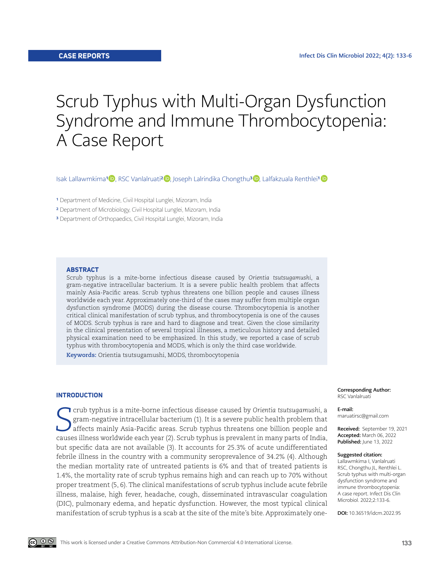# Scrub Typhus with Multi-Organ Dysfunction Syndrome and Immune Thrombocytopenia: A Case Report

IsakLallawmkima<sup>1</sup> **D**, RSC Vanlalruati<sup>2</sup> D, Joseph Lalrindika Chongthu<sup>3</sup> D, Lalfakzuala Renthlei<sup>1</sup> D

- <sup>1</sup> Department of Medicine, Civil Hospital Lunglei, Mizoram, India
- 2 Department of Microbiology, Civil Hospital Lunglei, Mizoram, India
- <sup>3</sup> Department of Orthopaedics, Civil Hospital Lunglei, Mizoram, India

## **ABSTRACT**

Scrub typhus is a mite-borne infectious disease caused by *Orientia tsutsugamushi*, a gram-negative intracellular bacterium. It is a severe public health problem that affects mainly Asia-Pacific areas. Scrub typhus threatens one billion people and causes illness worldwide each year. Approximately one-third of the cases may suffer from multiple organ dysfunction syndrome (MODS) during the disease course. Thrombocytopenia is another critical clinical manifestation of scrub typhus, and thrombocytopenia is one of the causes of MODS. Scrub typhus is rare and hard to diagnose and treat. Given the close similarity in the clinical presentation of several tropical illnesses, a meticulous history and detailed physical examination need to be emphasized. In this study, we reported a case of scrub typhus with thrombocytopenia and MODS, which is only the third case worldwide.

**Keywords:** Orientia tsutsugamushi, MODS, thrombocytopenia

## **INTRODUCTION**

**S**crub typhus is a mite-borne infectious disease caused by *Orientia tsutsugamushi*, a<br>
gram-negative intracellular bacterium (1). It is a severe public health problem that<br>
affects mainly Asia-Pacific areas. Scrub typhu crub typhus is a mite-borne infectious disease caused by *Orientia tsutsugamushi*, a gram-negative intracellular bacterium (1). It is a severe public health problem that affects mainly Asia-Pacific areas. Scrub typhus threatens one billion people and but specific data are not available (3). It accounts for 25.3% of acute undifferentiated febrile illness in the country with a community seroprevalence of 34.2% (4). Although the median mortality rate of untreated patients is 6% and that of treated patients is 1.4%, the mortality rate of scrub typhus remains high and can reach up to 70% without proper treatment (5, 6). The clinical manifestations of scrub typhus include acute febrile illness, malaise, high fever, headache, cough, disseminated intravascular coagulation (DIC), pulmonary edema, and hepatic dysfunction. However, the most typical clinical manifestation of scrub typhus is a scab at the site of the mite's bite. Approximately oneCorresponding Author: RSC Vanlalruati

## E-mail:

maruatirsc@gmail.com

Received: September 19, 2021 Accepted: March 06, 2022 Published: June 13, 2022

#### Suggested citation:

Lallawmkima I, Vanlalruati RSC, Chongthu JL, Renthlei L. Scrub typhus with multi-organ dysfunction syndrome and immune thrombocytopenia: A case report. Infect Dis Clin Microbiol. 2022;2:133-6.

DOI: 10.36519/idcm.2022.95

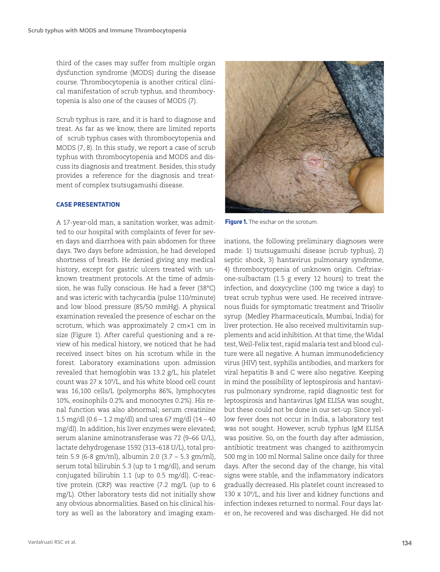third of the cases may suffer from multiple organ dysfunction syndrome (MODS) during the disease course. Thrombocytopenia is another critical clinical manifestation of scrub typhus, and thrombocytopenia is also one of the causes of MODS (7).

Scrub typhus is rare, and it is hard to diagnose and treat. As far as we know, there are limited reports of scrub typhus cases with thrombocytopenia and MODS (7, 8). In this study, we report a case of scrub typhus with thrombocytopenia and MODS and discuss its diagnosis and treatment. Besides, this study provides a reference for the diagnosis and treatment of complex tsutsugamushi disease.

# **CASE PRESENTATION**

A 17-year-old man, a sanitation worker, was admitted to our hospital with complaints of fever for seven days and diarrhoea with pain abdomen for three days. Two days before admission, he had developed shortness of breath. He denied giving any medical history, except for gastric ulcers treated with unknown treatment protocols. At the time of admission, he was fully conscious. He had a fever (38°C) and was icteric with tachycardia (pulse 110/minute) and low blood pressure (85/50 mmHg). A physical examination revealed the presence of eschar on the scrotum, which was approximately 2 cm×1 cm in size (Figure 1). After careful questioning and a review of his medical history, we noticed that he had received insect bites on his scrotum while in the forest. Laboratory examinations upon admission revealed that hemoglobin was 13.2 g/L, his platelet count was 27 x 109 /L, and his white blood cell count was 16,100 cells/L (polymorphs 86%, lymphocytes 10%, eosinophils 0.2% and monocytes 0.2%). His renal function was also abnormal; serum creatinine 1.5 mg/dl (0.6 – 1.2 mg/dl) and urea 67 mg/dl (14 – 40 mg/dl). In addition, his liver enzymes were elevated; serum alanine aminotransferase was 72 (9–66 U/L), lactate dehydrogenase 1592 (313–618 U/L), total protein 5.9 (6-8 gm/ml), albumin 2.0 (3.7 – 5.3 gm/ml), serum total bilirubin 5.3 (up to 1 mg/dl), and serum conjugated bilirubin 1.1 (up to 0.5 mg/dl). C-reactive protein (CRP) was reactive (7.2 mg/L (up to 6 mg/L). Other laboratory tests did not initially show any obvious abnormalities. Based on his clinical history as well as the laboratory and imaging exam-



**Figure 1.** The eschar on the scrotum.

inations, the following preliminary diagnoses were made: 1) tsutsugamushi disease (scrub typhus), 2) septic shock, 3) hantavirus pulmonary syndrome, 4) thrombocytopenia of unknown origin. Ceftriaxone-sulbactam (1.5 g every 12 hours) to treat the infection, and doxycycline (100 mg twice a day) to treat scrub typhus were used. He received intravenous fluids for symptomatic treatment and Trisoliv syrup (Medley Pharmaceuticals, Mumbai, India) for liver protection. He also received multivitamin supplements and acid inhibition. At that time, the Widal test, Weil-Felix test, rapid malaria test and blood culture were all negative. A human immunodeficiency virus (HIV) test, syphilis antibodies, and markers for viral hepatitis B and C were also negative. Keeping in mind the possibility of leptospirosis and hantavirus pulmonary syndrome, rapid diagnostic test for leptospirosis and hantavirus IgM ELISA was sought, but these could not be done in our set-up. Since yellow fever does not occur in India, a laboratory test was not sought. However, scrub typhus IgM ELISA was positive. So, on the fourth day after admission, antibiotic treatment was changed to azithromycin 500 mg in 100 ml Normal Saline once daily for three days. After the second day of the change, his vital signs were stable, and the inflammatory indicators gradually decreased. His platelet count increased to 130 x 109 /L, and his liver and kidney functions and infection indexes returned to normal. Four days later on, he recovered and was discharged. He did not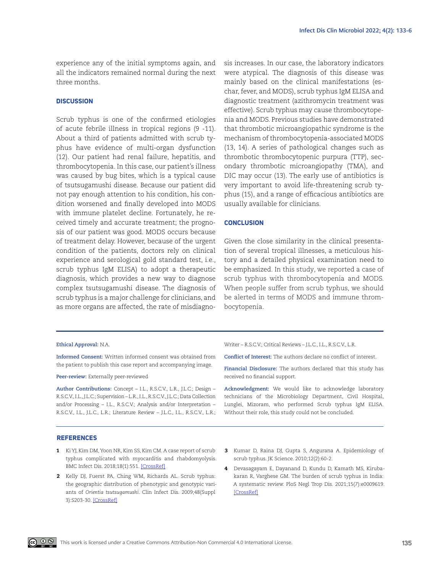experience any of the initial symptoms again, and all the indicators remained normal during the next three months.

## **DISCUSSION**

Scrub typhus is one of the confirmed etiologies of acute febrile illness in tropical regions (9 -11). About a third of patients admitted with scrub typhus have evidence of multi-organ dysfunction (12). Our patient had renal failure, hepatitis, and thrombocytopenia. In this case, our patient's illness was caused by bug bites, which is a typical cause of tsutsugamushi disease. Because our patient did not pay enough attention to his condition, his condition worsened and finally developed into MODS with immune platelet decline. Fortunately, he received timely and accurate treatment; the prognosis of our patient was good. MODS occurs because of treatment delay. However, because of the urgent condition of the patients, doctors rely on clinical experience and serological gold standard test, i.e., scrub typhus IgM ELISA) to adopt a therapeutic diagnosis, which provides a new way to diagnose complex tsutsugamushi disease. The diagnosis of scrub typhus is a major challenge for clinicians, and as more organs are affected, the rate of misdiagnosis increases. In our case, the laboratory indicators were atypical. The diagnosis of this disease was mainly based on the clinical manifestations (eschar, fever, and MODS), scrub typhus IgM ELISA and diagnostic treatment (azithromycin treatment was effective). Scrub typhus may cause thrombocytopenia and MODS. Previous studies have demonstrated that thrombotic microangiopathic syndrome is the mechanism of thrombocytopenia-associated MODS (13, 14). A series of pathological changes such as thrombotic thrombocytopenic purpura (TTP), secondary thrombotic microangiopathy (TMA), and DIC may occur (13). The early use of antibiotics is very important to avoid life-threatening scrub typhus (15), and a range of efficacious antibiotics are usually available for clinicians.

# **CONCLUSION**

Given the close similarity in the clinical presentation of several tropical illnesses, a meticulous history and a detailed physical examination need to be emphasized. In this study, we reported a case of scrub typhus with thrombocytopenia and MODS. When people suffer from scrub typhus, we should be alerted in terms of MODS and immune thrombocytopenia.

#### **Ethical Approval:** N.A.

**Informed Consent:** Written informed consent was obtained from the patient to publish this case report and accompanying image.

#### **Peer-review:** Externally peer-reviewed

**Author Contributions:** Concept – I.L., R.S.C.V., L.R., J.L.C.; Design – R.S.C.V., I.L., J.L.C.; Supervision – L.R., I.L., R.S.C.V., J.L.C.; Data Collection and/or Processing – I.L., R.S.C.V.; Analysis and/or Interpretation – R.S.C.V., I.L., J.L.C., L.R.; Literature Review – J.L.C., I.L., R.S.C.V., L.R.;

## Writer – R.S.C.V.; Critical Reviews – J.L.C., I.L., R.S.C.V., L.R.

**Conflict of Interest:** The authors declare no conflict of interest.

**Financial Disclosure:** The authors declared that this study has received no financial support.

**Acknowledgment:** We would like to acknowledge laboratory technicians of the Microbiology Department, Civil Hospital, Lunglei, Mizoram, who performed Scrub typhus IgM ELISA. Without their role, this study could not be concluded.

## **REFERENCES**

- 1 Ki YJ, Kim DM, Yoon NR, Kim SS, Kim CM. A case report of scrub typhus complicated with myocarditis and rhabdomyolysis. BMC Infect Dis. 2018;18(1):551. [\[CrossRef\]](https://doi.org/10.1186/s12879-018-3458-1)
- 2 Kelly DJ, Fuerst PA, Ching WM, Richards AL. Scrub typhus: the geographic distribution of phenotypic and genotypic variants of *Orientia tsutsugamushi*. Clin Infect Dis. 2009;48(Suppl 3):S203-30. [[CrossRef](https://doi.org/10.1086/596576)]
- 3 Kumar D, Raina DJ, Gupta S, Angurana A. Epidemiology of scrub typhus. JK Science. 2010;12(2):60-2.
- 4 Devasagayam E, Dayanand D, Kundu D, Kamath MS, Kirubakaran R, Varghese GM. The burden of scrub typhus in India: A systematic review. PloS Negl Trop Dis. 2021;15(7):e0009619. [\[CrossRef](https://doi.org/10.1371/journal.pntd.0009619)]